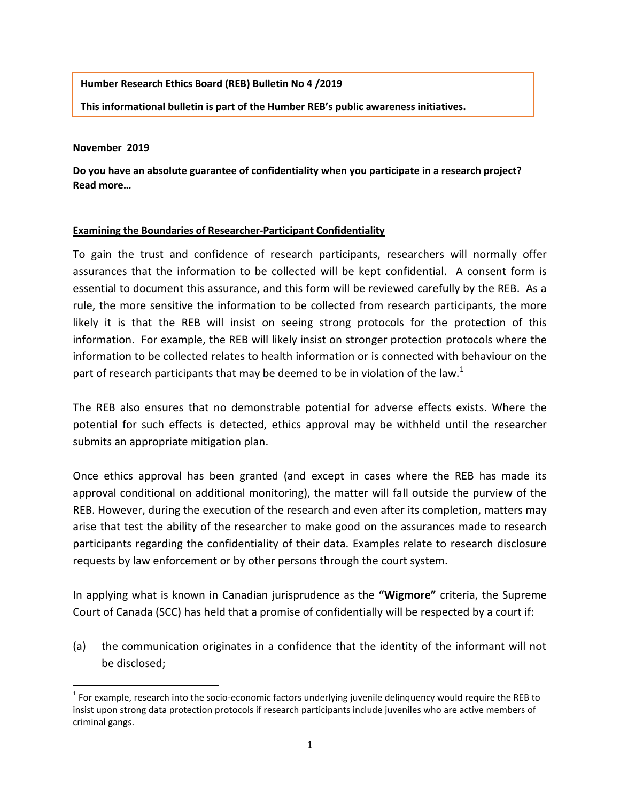## **Humber Research Ethics Board (REB) Bulletin No 4 /2019**

**This informational bulletin is part of the Humber REB's public awareness initiatives.**

## **November 2019**

 $\overline{\phantom{a}}$ 

**Do you have an absolute guarantee of confidentiality when you participate in a research project? Read more…**

## **Examining the Boundaries of Researcher-Participant Confidentiality**

To gain the trust and confidence of research participants, researchers will normally offer assurances that the information to be collected will be kept confidential. A consent form is essential to document this assurance, and this form will be reviewed carefully by the REB. As a rule, the more sensitive the information to be collected from research participants, the more likely it is that the REB will insist on seeing strong protocols for the protection of this information. For example, the REB will likely insist on stronger protection protocols where the information to be collected relates to health information or is connected with behaviour on the part of research participants that may be deemed to be in violation of the law.<sup>1</sup>

The REB also ensures that no demonstrable potential for adverse effects exists. Where the potential for such effects is detected, ethics approval may be withheld until the researcher submits an appropriate mitigation plan.

Once ethics approval has been granted (and except in cases where the REB has made its approval conditional on additional monitoring), the matter will fall outside the purview of the REB. However, during the execution of the research and even after its completion, matters may arise that test the ability of the researcher to make good on the assurances made to research participants regarding the confidentiality of their data. Examples relate to research disclosure requests by law enforcement or by other persons through the court system.

In applying what is known in Canadian jurisprudence as the **"Wigmore"** criteria, the Supreme Court of Canada (SCC) has held that a promise of confidentially will be respected by a court if:

(a) the communication originates in a confidence that the identity of the informant will not be disclosed;

 $1$  For example, research into the socio-economic factors underlying juvenile delinquency would require the REB to insist upon strong data protection protocols if research participants include juveniles who are active members of criminal gangs.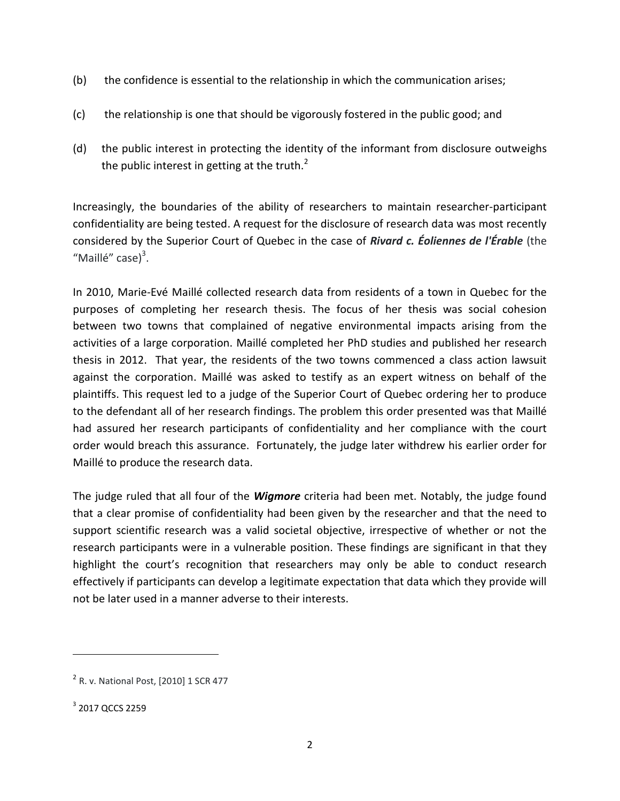- (b) the confidence is essential to the relationship in which the communication arises;
- (c) the relationship is one that should be vigorously fostered in the public good; and
- (d) the public interest in protecting the identity of the informant from disclosure outweighs the public interest in getting at the truth. $<sup>2</sup>$ </sup>

Increasingly, the boundaries of the ability of researchers to maintain researcher-participant confidentiality are being tested. A request for the disclosure of research data was most recently considered by the Superior Court of Quebec in the case of *Rivard c. Éoliennes de l'Érable* (the "Maillé" case)<sup>3</sup>.

In 2010, Marie-Evé Maillé collected research data from residents of a town in Quebec for the purposes of completing her research thesis. The focus of her thesis was social cohesion between two towns that complained of negative environmental impacts arising from the activities of a large corporation. Maillé completed her PhD studies and published her research thesis in 2012. That year, the residents of the two towns commenced a class action lawsuit against the corporation. Maillé was asked to testify as an expert witness on behalf of the plaintiffs. This request led to a judge of the Superior Court of Quebec ordering her to produce to the defendant all of her research findings. The problem this order presented was that Maillé had assured her research participants of confidentiality and her compliance with the court order would breach this assurance. Fortunately, the judge later withdrew his earlier order for Maillé to produce the research data.

The judge ruled that all four of the *Wigmore* criteria had been met. Notably, the judge found that a clear promise of confidentiality had been given by the researcher and that the need to support scientific research was a valid societal objective, irrespective of whether or not the research participants were in a vulnerable position. These findings are significant in that they highlight the court's recognition that researchers may only be able to conduct research effectively if participants can develop a legitimate expectation that data which they provide will not be later used in a manner adverse to their interests.

 $\overline{\phantom{a}}$ 

<sup>&</sup>lt;sup>2</sup> R. v. National Post, [2010] 1 SCR 477

 $^3$  2017 QCCS 2259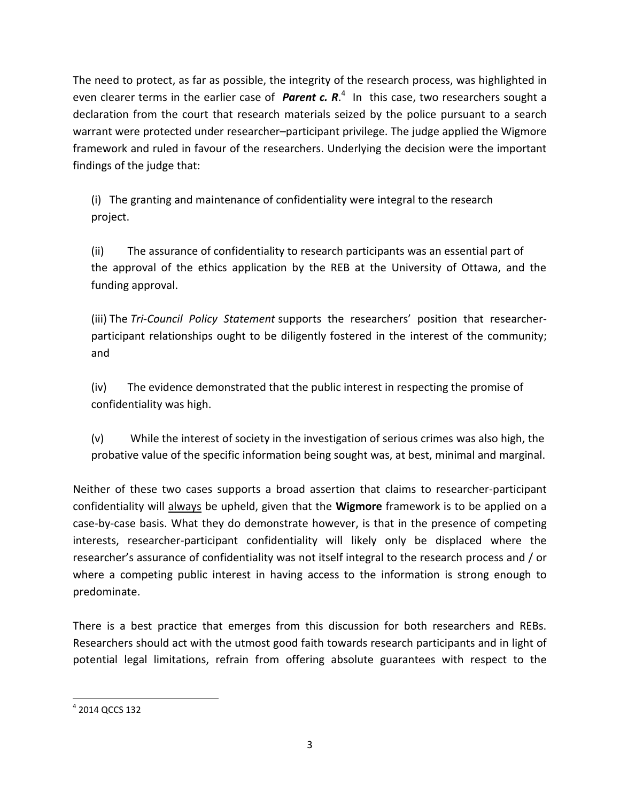The need to protect, as far as possible, the integrity of the research process, was highlighted in even clearer terms in the earlier case of *Parent c. R*. 4 In this case, two researchers sought a declaration from the court that research materials seized by the police pursuant to a search warrant were protected under researcher–participant privilege. The judge applied the Wigmore framework and ruled in favour of the researchers. Underlying the decision were the important findings of the judge that:

(i) The granting and maintenance of confidentiality were integral to the research project.

(ii) The assurance of confidentiality to research participants was an essential part of the approval of the ethics application by the REB at the University of Ottawa, and the funding approval.

(iii) The *Tri-Council Policy Statement* supports the researchers' position that researcherparticipant relationships ought to be diligently fostered in the interest of the community; and

(iv) The evidence demonstrated that the public interest in respecting the promise of confidentiality was high.

(v) While the interest of society in the investigation of serious crimes was also high, the probative value of the specific information being sought was, at best, minimal and marginal.

Neither of these two cases supports a broad assertion that claims to researcher-participant confidentiality will always be upheld, given that the **Wigmore** framework is to be applied on a case-by-case basis. What they do demonstrate however, is that in the presence of competing interests, researcher-participant confidentiality will likely only be displaced where the researcher's assurance of confidentiality was not itself integral to the research process and / or where a competing public interest in having access to the information is strong enough to predominate.

There is a best practice that emerges from this discussion for both researchers and REBs. Researchers should act with the utmost good faith towards research participants and in light of potential legal limitations, refrain from offering absolute guarantees with respect to the

l  $^4$  2014 QCCS 132